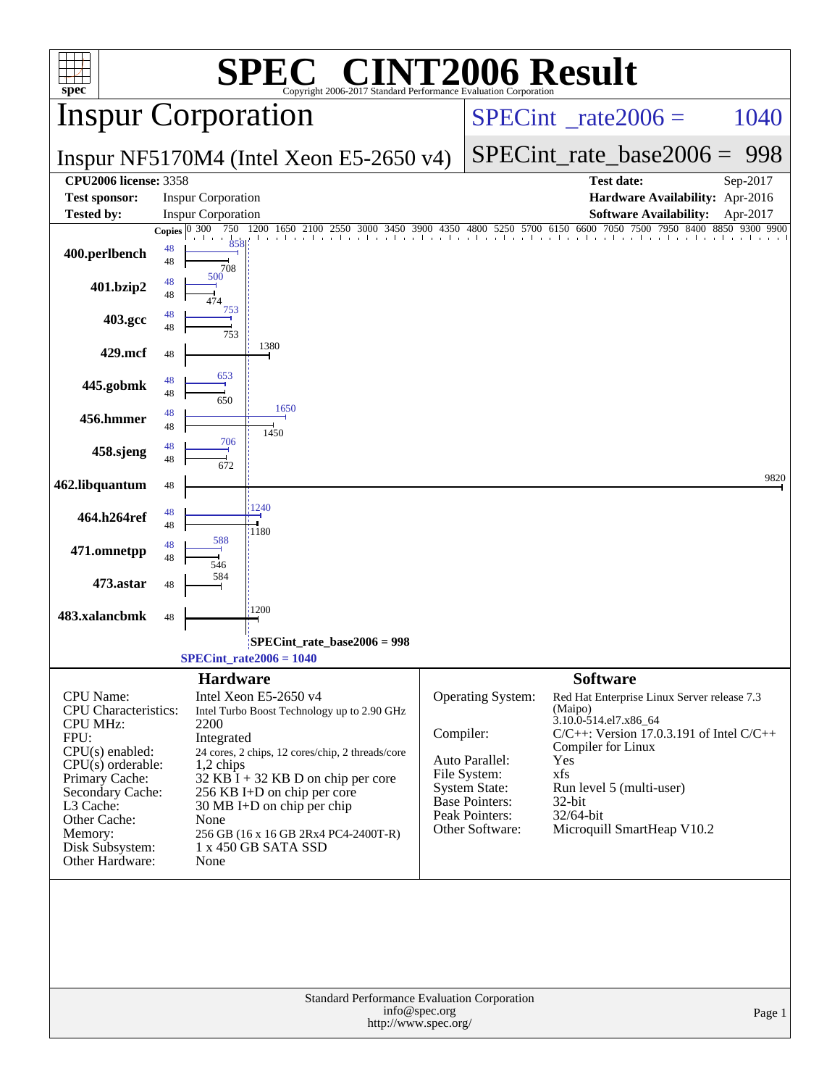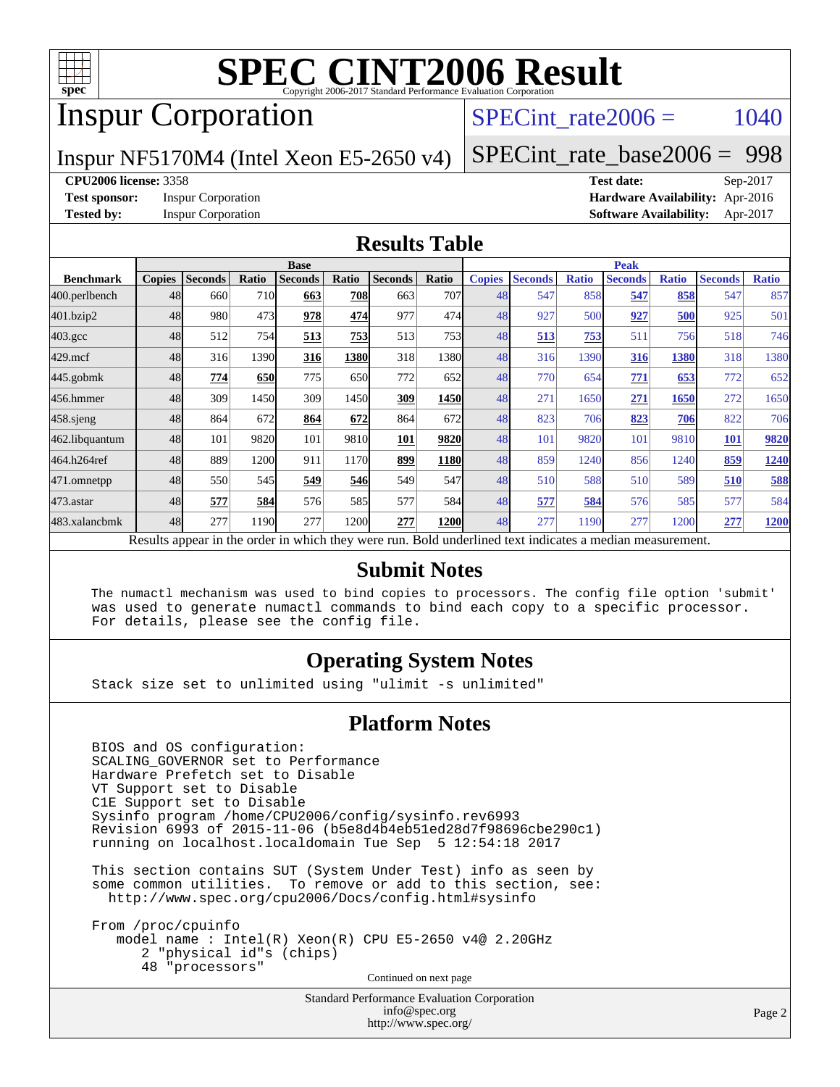

# Inspur Corporation

### SPECint rate $2006 = 1040$

Inspur NF5170M4 (Intel Xeon E5-2650 v4)

[SPECint\\_rate\\_base2006 =](http://www.spec.org/auto/cpu2006/Docs/result-fields.html#SPECintratebase2006) 998

#### **[CPU2006 license:](http://www.spec.org/auto/cpu2006/Docs/result-fields.html#CPU2006license)** 3358 **[Test date:](http://www.spec.org/auto/cpu2006/Docs/result-fields.html#Testdate)** Sep-2017

**[Test sponsor:](http://www.spec.org/auto/cpu2006/Docs/result-fields.html#Testsponsor)** Inspur Corporation **[Hardware Availability:](http://www.spec.org/auto/cpu2006/Docs/result-fields.html#HardwareAvailability)** Apr-2016 **[Tested by:](http://www.spec.org/auto/cpu2006/Docs/result-fields.html#Testedby)** Inspur Corporation **[Software Availability:](http://www.spec.org/auto/cpu2006/Docs/result-fields.html#SoftwareAvailability)** Apr-2017

#### **[Results Table](http://www.spec.org/auto/cpu2006/Docs/result-fields.html#ResultsTable)**

|                                                                                                          |               | <b>Base</b>    |            |                |            | <b>Peak</b>    |       |               |                |              |                |              |                |              |
|----------------------------------------------------------------------------------------------------------|---------------|----------------|------------|----------------|------------|----------------|-------|---------------|----------------|--------------|----------------|--------------|----------------|--------------|
| <b>Benchmark</b>                                                                                         | <b>Copies</b> | <b>Seconds</b> | Ratio      | <b>Seconds</b> | Ratio      | <b>Seconds</b> | Ratio | <b>Copies</b> | <b>Seconds</b> | <b>Ratio</b> | <b>Seconds</b> | <b>Ratio</b> | <b>Seconds</b> | <b>Ratio</b> |
| 400.perlbench                                                                                            | 48            | 660            | 710        | 663            | <b>708</b> | 663            | 707   | 48            | 547            | 858          | 547            | 858          | 547            | 857          |
| 401.bzip2                                                                                                | 48            | 980            | 473        | 978            | 474        | 977            | 474   | 48            | 927            | 500          | 927            | 500          | 925            | 501          |
| $403.\mathrm{gcc}$                                                                                       | 48            | 512            | 754        | 513            | 753        | 513            | 753   | 48            | 513            | 753          | 511            | 756          | 518            | 746          |
| $429$ .mcf                                                                                               | 48            | 316            | 1390       | 316            | 1380       | 318            | 1380  | 48            | 316            | 1390         | 316            | 1380         | 318            | 1380         |
| $445$ .gobmk                                                                                             | 48            | 774            | <b>650</b> | 775            | 650        | 772            | 652   | 48            | 770            | 654          | 771            | 653          | 772            | 652          |
| 456.hmmer                                                                                                | 48            | 309            | 1450       | 309            | 1450       | 309            | 1450  | 48            | 271            | 1650         | 271            | 1650         | 272            | 1650         |
| $458$ .sjeng                                                                                             | 48            | 864            | 672        | 864            | 672        | 864            | 672   | 48            | 823            | 706          | 823            | 706          | 822            | 706          |
| 462.libquantum                                                                                           | 48            | 101            | 9820       | 101            | 9810       | 101            | 9820  | 48            | 101            | 9820         | 101            | 9810         | <b>101</b>     | 9820         |
| 464.h264ref                                                                                              | 48            | 889            | 1200       | 911            | 1170       | 899            | 1180  | 48            | 859            | 1240         | 856            | 1240         | 859            | 1240         |
| 471.omnetpp                                                                                              | 48            | 550            | 545        | 549            | 546        | 549            | 547   | 48            | 510            | 588          | 510            | 589          | 510            | 588          |
| $473.$ astar                                                                                             | 48            | 577            | 584        | 576            | 585I       | 577            | 584   | 48            | 577            | 584          | 576            | 585          | 577            | 584          |
| 483.xalancbmk                                                                                            | 48            | 277            | 1190       | 277            | 1200       | 277            | 1200  | 48            | 277            | 1190         | 277            | 1200         | 277            | 1200         |
| Results appear in the order in which they were run. Bold underlined text indicates a median measurement. |               |                |            |                |            |                |       |               |                |              |                |              |                |              |

### **[Submit Notes](http://www.spec.org/auto/cpu2006/Docs/result-fields.html#SubmitNotes)**

 The numactl mechanism was used to bind copies to processors. The config file option 'submit' was used to generate numactl commands to bind each copy to a specific processor. For details, please see the config file.

### **[Operating System Notes](http://www.spec.org/auto/cpu2006/Docs/result-fields.html#OperatingSystemNotes)**

Stack size set to unlimited using "ulimit -s unlimited"

#### **[Platform Notes](http://www.spec.org/auto/cpu2006/Docs/result-fields.html#PlatformNotes)**

 BIOS and OS configuration: SCALING\_GOVERNOR set to Performance Hardware Prefetch set to Disable VT Support set to Disable C1E Support set to Disable Sysinfo program /home/CPU2006/config/sysinfo.rev6993 Revision 6993 of 2015-11-06 (b5e8d4b4eb51ed28d7f98696cbe290c1) running on localhost.localdomain Tue Sep 5 12:54:18 2017

 This section contains SUT (System Under Test) info as seen by some common utilities. To remove or add to this section, see: <http://www.spec.org/cpu2006/Docs/config.html#sysinfo>

 From /proc/cpuinfo model name : Intel(R) Xeon(R) CPU E5-2650 v4@ 2.20GHz 2 "physical id"s (chips) 48 "processors" Continued on next page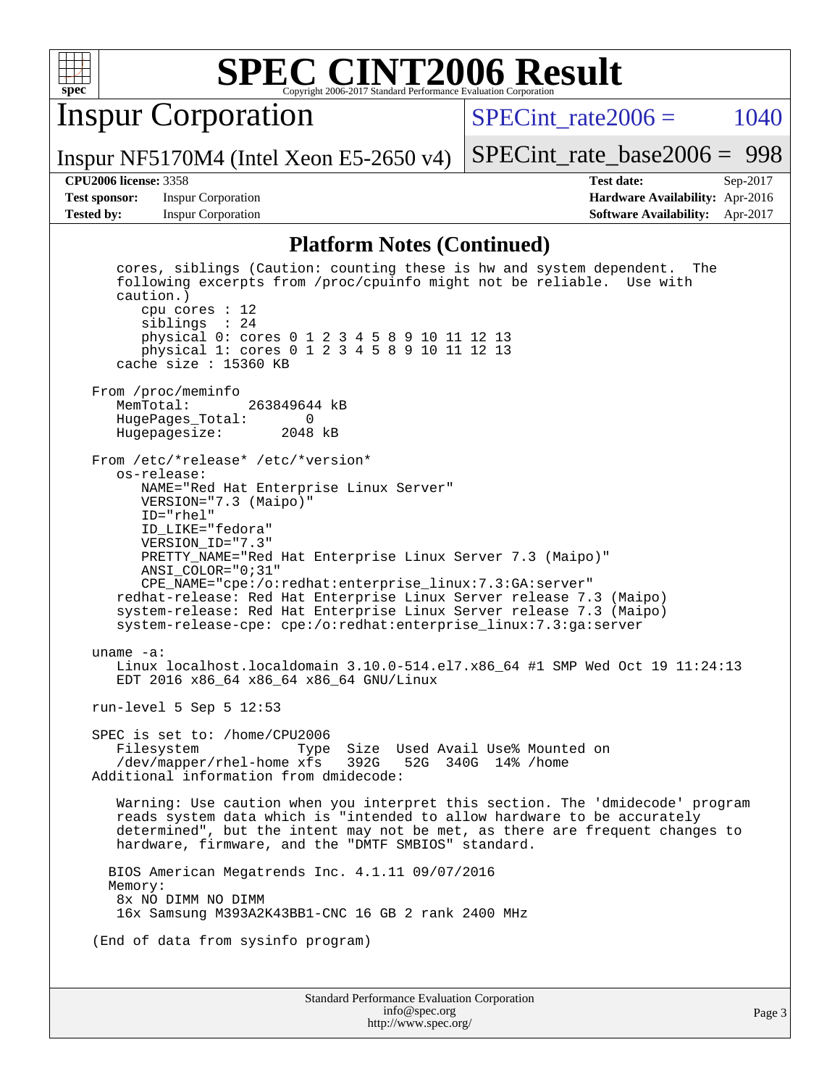

Inspur Corporation

SPECint rate $2006 = 1040$ 

Inspur NF5170M4 (Intel Xeon E5-2650 v4)

[SPECint\\_rate\\_base2006 =](http://www.spec.org/auto/cpu2006/Docs/result-fields.html#SPECintratebase2006) 998

**[Test sponsor:](http://www.spec.org/auto/cpu2006/Docs/result-fields.html#Testsponsor)** Inspur Corporation **[Hardware Availability:](http://www.spec.org/auto/cpu2006/Docs/result-fields.html#HardwareAvailability)** Apr-2016

**[CPU2006 license:](http://www.spec.org/auto/cpu2006/Docs/result-fields.html#CPU2006license)** 3358 **[Test date:](http://www.spec.org/auto/cpu2006/Docs/result-fields.html#Testdate)** Sep-2017 **[Tested by:](http://www.spec.org/auto/cpu2006/Docs/result-fields.html#Testedby)** Inspur Corporation **[Software Availability:](http://www.spec.org/auto/cpu2006/Docs/result-fields.html#SoftwareAvailability)** Apr-2017

#### **[Platform Notes \(Continued\)](http://www.spec.org/auto/cpu2006/Docs/result-fields.html#PlatformNotes)**

Standard Performance Evaluation Corporation [info@spec.org](mailto:info@spec.org) <http://www.spec.org/> Page 3 cores, siblings (Caution: counting these is hw and system dependent. The following excerpts from /proc/cpuinfo might not be reliable. Use with caution.) cpu cores : 12 siblings : 24 physical 0: cores 0 1 2 3 4 5 8 9 10 11 12 13 physical 1: cores 0 1 2 3 4 5 8 9 10 11 12 13 cache size : 15360 KB From /proc/meminfo<br>MemTotal: 263849644 kB HugePages\_Total: 0 Hugepagesize: 2048 kB From /etc/\*release\* /etc/\*version\* os-release: NAME="Red Hat Enterprise Linux Server" VERSION="7.3 (Maipo)" ID="rhel" ID\_LIKE="fedora" VERSION\_ID="7.3" PRETTY\_NAME="Red Hat Enterprise Linux Server 7.3 (Maipo)" ANSI\_COLOR="0;31" CPE\_NAME="cpe:/o:redhat:enterprise\_linux:7.3:GA:server" redhat-release: Red Hat Enterprise Linux Server release 7.3 (Maipo) system-release: Red Hat Enterprise Linux Server release 7.3 (Maipo) system-release-cpe: cpe:/o:redhat:enterprise\_linux:7.3:ga:server uname -a: Linux localhost.localdomain 3.10.0-514.el7.x86\_64 #1 SMP Wed Oct 19 11:24:13 EDT 2016 x86\_64 x86\_64 x86\_64 GNU/Linux run-level 5 Sep 5 12:53 SPEC is set to: /home/CPU2006 Filesystem Type Size Used Avail Use% Mounted on /dev/mapper/rhel-home xfs 392G 52G 340G 14% /home Additional information from dmidecode: Warning: Use caution when you interpret this section. The 'dmidecode' program reads system data which is "intended to allow hardware to be accurately determined", but the intent may not be met, as there are frequent changes to hardware, firmware, and the "DMTF SMBIOS" standard. BIOS American Megatrends Inc. 4.1.11 09/07/2016 Memory: 8x NO DIMM NO DIMM 16x Samsung M393A2K43BB1-CNC 16 GB 2 rank 2400 MHz (End of data from sysinfo program)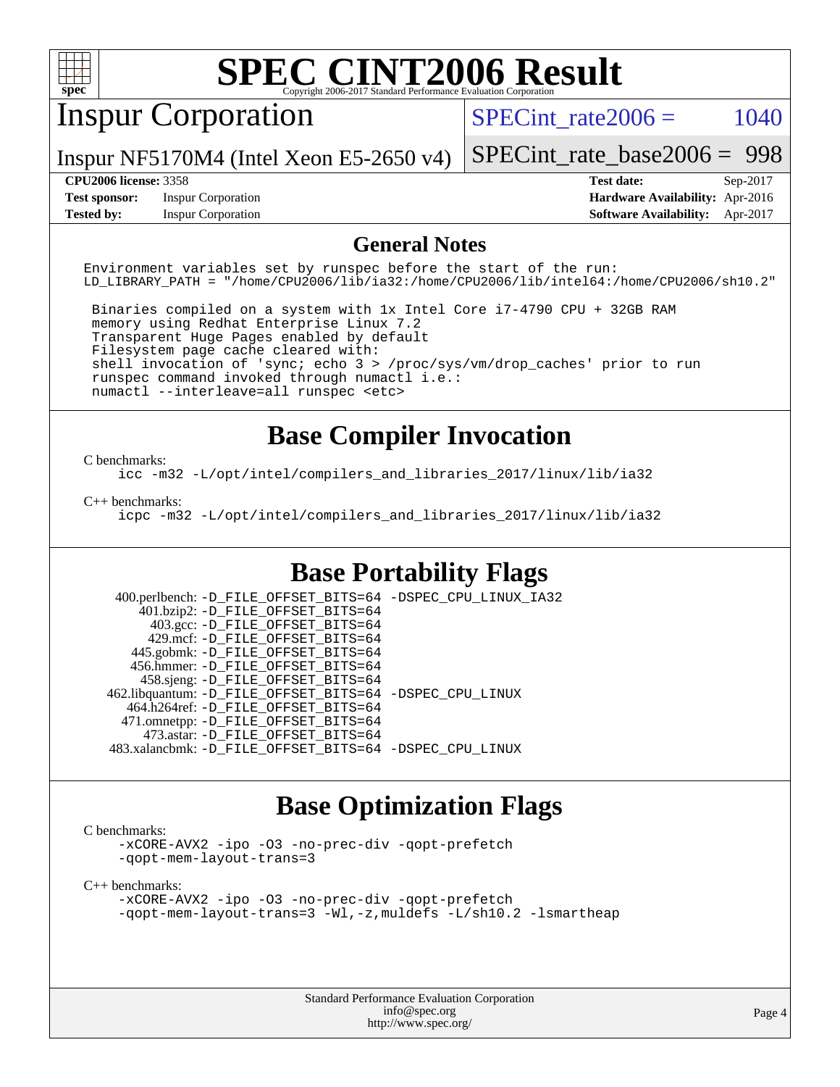

# Inspur Corporation

SPECint rate $2006 = 1040$ 

Inspur NF5170M4 (Intel Xeon E5-2650 v4)

[SPECint\\_rate\\_base2006 =](http://www.spec.org/auto/cpu2006/Docs/result-fields.html#SPECintratebase2006) 998

**[Test sponsor:](http://www.spec.org/auto/cpu2006/Docs/result-fields.html#Testsponsor)** Inspur Corporation **[Hardware Availability:](http://www.spec.org/auto/cpu2006/Docs/result-fields.html#HardwareAvailability)** Apr-2016

**[CPU2006 license:](http://www.spec.org/auto/cpu2006/Docs/result-fields.html#CPU2006license)** 3358 **[Test date:](http://www.spec.org/auto/cpu2006/Docs/result-fields.html#Testdate)** Sep-2017 **[Tested by:](http://www.spec.org/auto/cpu2006/Docs/result-fields.html#Testedby)** Inspur Corporation **[Software Availability:](http://www.spec.org/auto/cpu2006/Docs/result-fields.html#SoftwareAvailability)** Apr-2017

#### **[General Notes](http://www.spec.org/auto/cpu2006/Docs/result-fields.html#GeneralNotes)**

Environment variables set by runspec before the start of the run: LD\_LIBRARY\_PATH = "/home/CPU2006/lib/ia32:/home/CPU2006/lib/intel64:/home/CPU2006/sh10.2"

 Binaries compiled on a system with 1x Intel Core i7-4790 CPU + 32GB RAM memory using Redhat Enterprise Linux 7.2 Transparent Huge Pages enabled by default Filesystem page cache cleared with: shell invocation of 'sync; echo 3 > /proc/sys/vm/drop\_caches' prior to run runspec command invoked through numactl i.e.: numactl --interleave=all runspec <etc>

## **[Base Compiler Invocation](http://www.spec.org/auto/cpu2006/Docs/result-fields.html#BaseCompilerInvocation)**

[C benchmarks](http://www.spec.org/auto/cpu2006/Docs/result-fields.html#Cbenchmarks):

[icc -m32 -L/opt/intel/compilers\\_and\\_libraries\\_2017/linux/lib/ia32](http://www.spec.org/cpu2006/results/res2017q4/cpu2006-20170919-50146.flags.html#user_CCbase_intel_icc_c29f3ff5a7ed067b11e4ec10a03f03ae)

[C++ benchmarks:](http://www.spec.org/auto/cpu2006/Docs/result-fields.html#CXXbenchmarks)

[icpc -m32 -L/opt/intel/compilers\\_and\\_libraries\\_2017/linux/lib/ia32](http://www.spec.org/cpu2006/results/res2017q4/cpu2006-20170919-50146.flags.html#user_CXXbase_intel_icpc_8c35c7808b62dab9ae41a1aa06361b6b)

### **[Base Portability Flags](http://www.spec.org/auto/cpu2006/Docs/result-fields.html#BasePortabilityFlags)**

 400.perlbench: [-D\\_FILE\\_OFFSET\\_BITS=64](http://www.spec.org/cpu2006/results/res2017q4/cpu2006-20170919-50146.flags.html#user_basePORTABILITY400_perlbench_file_offset_bits_64_438cf9856305ebd76870a2c6dc2689ab) [-DSPEC\\_CPU\\_LINUX\\_IA32](http://www.spec.org/cpu2006/results/res2017q4/cpu2006-20170919-50146.flags.html#b400.perlbench_baseCPORTABILITY_DSPEC_CPU_LINUX_IA32) 401.bzip2: [-D\\_FILE\\_OFFSET\\_BITS=64](http://www.spec.org/cpu2006/results/res2017q4/cpu2006-20170919-50146.flags.html#user_basePORTABILITY401_bzip2_file_offset_bits_64_438cf9856305ebd76870a2c6dc2689ab) 403.gcc: [-D\\_FILE\\_OFFSET\\_BITS=64](http://www.spec.org/cpu2006/results/res2017q4/cpu2006-20170919-50146.flags.html#user_basePORTABILITY403_gcc_file_offset_bits_64_438cf9856305ebd76870a2c6dc2689ab) 429.mcf: [-D\\_FILE\\_OFFSET\\_BITS=64](http://www.spec.org/cpu2006/results/res2017q4/cpu2006-20170919-50146.flags.html#user_basePORTABILITY429_mcf_file_offset_bits_64_438cf9856305ebd76870a2c6dc2689ab) 445.gobmk: [-D\\_FILE\\_OFFSET\\_BITS=64](http://www.spec.org/cpu2006/results/res2017q4/cpu2006-20170919-50146.flags.html#user_basePORTABILITY445_gobmk_file_offset_bits_64_438cf9856305ebd76870a2c6dc2689ab) 456.hmmer: [-D\\_FILE\\_OFFSET\\_BITS=64](http://www.spec.org/cpu2006/results/res2017q4/cpu2006-20170919-50146.flags.html#user_basePORTABILITY456_hmmer_file_offset_bits_64_438cf9856305ebd76870a2c6dc2689ab) 458.sjeng: [-D\\_FILE\\_OFFSET\\_BITS=64](http://www.spec.org/cpu2006/results/res2017q4/cpu2006-20170919-50146.flags.html#user_basePORTABILITY458_sjeng_file_offset_bits_64_438cf9856305ebd76870a2c6dc2689ab) 462.libquantum: [-D\\_FILE\\_OFFSET\\_BITS=64](http://www.spec.org/cpu2006/results/res2017q4/cpu2006-20170919-50146.flags.html#user_basePORTABILITY462_libquantum_file_offset_bits_64_438cf9856305ebd76870a2c6dc2689ab) [-DSPEC\\_CPU\\_LINUX](http://www.spec.org/cpu2006/results/res2017q4/cpu2006-20170919-50146.flags.html#b462.libquantum_baseCPORTABILITY_DSPEC_CPU_LINUX) 464.h264ref: [-D\\_FILE\\_OFFSET\\_BITS=64](http://www.spec.org/cpu2006/results/res2017q4/cpu2006-20170919-50146.flags.html#user_basePORTABILITY464_h264ref_file_offset_bits_64_438cf9856305ebd76870a2c6dc2689ab) 471.omnetpp: [-D\\_FILE\\_OFFSET\\_BITS=64](http://www.spec.org/cpu2006/results/res2017q4/cpu2006-20170919-50146.flags.html#user_basePORTABILITY471_omnetpp_file_offset_bits_64_438cf9856305ebd76870a2c6dc2689ab) 473.astar: [-D\\_FILE\\_OFFSET\\_BITS=64](http://www.spec.org/cpu2006/results/res2017q4/cpu2006-20170919-50146.flags.html#user_basePORTABILITY473_astar_file_offset_bits_64_438cf9856305ebd76870a2c6dc2689ab) 483.xalancbmk: [-D\\_FILE\\_OFFSET\\_BITS=64](http://www.spec.org/cpu2006/results/res2017q4/cpu2006-20170919-50146.flags.html#user_basePORTABILITY483_xalancbmk_file_offset_bits_64_438cf9856305ebd76870a2c6dc2689ab) [-DSPEC\\_CPU\\_LINUX](http://www.spec.org/cpu2006/results/res2017q4/cpu2006-20170919-50146.flags.html#b483.xalancbmk_baseCXXPORTABILITY_DSPEC_CPU_LINUX)

## **[Base Optimization Flags](http://www.spec.org/auto/cpu2006/Docs/result-fields.html#BaseOptimizationFlags)**

[C benchmarks](http://www.spec.org/auto/cpu2006/Docs/result-fields.html#Cbenchmarks):

[-xCORE-AVX2](http://www.spec.org/cpu2006/results/res2017q4/cpu2006-20170919-50146.flags.html#user_CCbase_f-xCORE-AVX2) [-ipo](http://www.spec.org/cpu2006/results/res2017q4/cpu2006-20170919-50146.flags.html#user_CCbase_f-ipo) [-O3](http://www.spec.org/cpu2006/results/res2017q4/cpu2006-20170919-50146.flags.html#user_CCbase_f-O3) [-no-prec-div](http://www.spec.org/cpu2006/results/res2017q4/cpu2006-20170919-50146.flags.html#user_CCbase_f-no-prec-div) [-qopt-prefetch](http://www.spec.org/cpu2006/results/res2017q4/cpu2006-20170919-50146.flags.html#user_CCbase_f-qopt-prefetch) [-qopt-mem-layout-trans=3](http://www.spec.org/cpu2006/results/res2017q4/cpu2006-20170919-50146.flags.html#user_CCbase_f-qopt-mem-layout-trans_170f5be61cd2cedc9b54468c59262d5d)

[C++ benchmarks:](http://www.spec.org/auto/cpu2006/Docs/result-fields.html#CXXbenchmarks)

[-xCORE-AVX2](http://www.spec.org/cpu2006/results/res2017q4/cpu2006-20170919-50146.flags.html#user_CXXbase_f-xCORE-AVX2) [-ipo](http://www.spec.org/cpu2006/results/res2017q4/cpu2006-20170919-50146.flags.html#user_CXXbase_f-ipo) [-O3](http://www.spec.org/cpu2006/results/res2017q4/cpu2006-20170919-50146.flags.html#user_CXXbase_f-O3) [-no-prec-div](http://www.spec.org/cpu2006/results/res2017q4/cpu2006-20170919-50146.flags.html#user_CXXbase_f-no-prec-div) [-qopt-prefetch](http://www.spec.org/cpu2006/results/res2017q4/cpu2006-20170919-50146.flags.html#user_CXXbase_f-qopt-prefetch) [-qopt-mem-layout-trans=3](http://www.spec.org/cpu2006/results/res2017q4/cpu2006-20170919-50146.flags.html#user_CXXbase_f-qopt-mem-layout-trans_170f5be61cd2cedc9b54468c59262d5d) [-Wl,-z,muldefs](http://www.spec.org/cpu2006/results/res2017q4/cpu2006-20170919-50146.flags.html#user_CXXbase_link_force_multiple1_74079c344b956b9658436fd1b6dd3a8a) [-L/sh10.2 -lsmartheap](http://www.spec.org/cpu2006/results/res2017q4/cpu2006-20170919-50146.flags.html#user_CXXbase_SmartHeap_b831f2d313e2fffa6dfe3f00ffc1f1c0)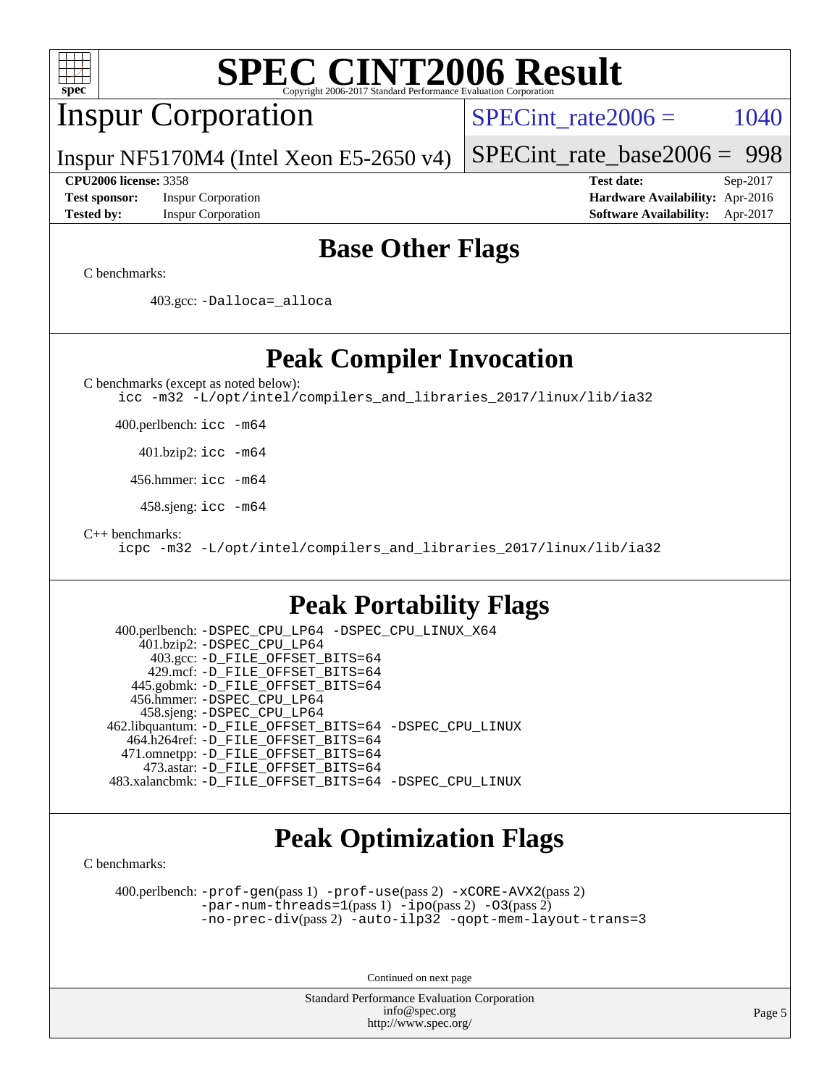| <b>SPEC CINT2006 Result</b><br>Copyright 2006-2017 Standard Performance Evaluation Corporation<br>spec                                                                                                                                                                                                                                                                                                                                                                                            |                                                                                                               |
|---------------------------------------------------------------------------------------------------------------------------------------------------------------------------------------------------------------------------------------------------------------------------------------------------------------------------------------------------------------------------------------------------------------------------------------------------------------------------------------------------|---------------------------------------------------------------------------------------------------------------|
| <b>Inspur Corporation</b>                                                                                                                                                                                                                                                                                                                                                                                                                                                                         | 1040<br>$SPECint rate 2006 =$                                                                                 |
| Inspur NF5170M4 (Intel Xeon E5-2650 v4)                                                                                                                                                                                                                                                                                                                                                                                                                                                           | 998<br>$SPECint_rate_base2006 =$                                                                              |
| <b>CPU2006 license: 3358</b><br><b>Test sponsor:</b><br><b>Inspur Corporation</b><br><b>Tested by:</b><br><b>Inspur Corporation</b>                                                                                                                                                                                                                                                                                                                                                               | <b>Test date:</b><br>Sep-2017<br>Hardware Availability: Apr-2016<br><b>Software Availability:</b><br>Apr-2017 |
| <b>Base Other Flags</b>                                                                                                                                                                                                                                                                                                                                                                                                                                                                           |                                                                                                               |
| C benchmarks:                                                                                                                                                                                                                                                                                                                                                                                                                                                                                     |                                                                                                               |
| 403.gcc: -Dalloca=_alloca                                                                                                                                                                                                                                                                                                                                                                                                                                                                         |                                                                                                               |
| <b>Peak Compiler Invocation</b><br>C benchmarks (except as noted below):<br>icc -m32 -L/opt/intel/compilers_and_libraries_2017/linux/lib/ia32                                                                                                                                                                                                                                                                                                                                                     |                                                                                                               |
| 400.perlbench: icc -m64                                                                                                                                                                                                                                                                                                                                                                                                                                                                           |                                                                                                               |
| $401.bzip2:$ icc $-m64$                                                                                                                                                                                                                                                                                                                                                                                                                                                                           |                                                                                                               |
| 456.hmmer: icc -m64                                                                                                                                                                                                                                                                                                                                                                                                                                                                               |                                                                                                               |
| 458.sjeng: icc -m64                                                                                                                                                                                                                                                                                                                                                                                                                                                                               |                                                                                                               |
| $C++$ benchmarks:<br>icpc -m32 -L/opt/intel/compilers_and_libraries_2017/linux/lib/ia32                                                                                                                                                                                                                                                                                                                                                                                                           |                                                                                                               |
| <b>Peak Portability Flags</b>                                                                                                                                                                                                                                                                                                                                                                                                                                                                     |                                                                                                               |
| 400.perlbench: -DSPEC_CPU_LP64 -DSPEC_CPU_LINUX_X64<br>401.bzip2: -DSPEC_CPU_LP64<br>403.gcc: -D_FILE_OFFSET_BITS=64<br>429.mcf: -D_FILE_OFFSET_BITS=64<br>445.gobmk: -D_FILE_OFFSET_BITS=64<br>456.hmmer: -DSPEC_CPU_LP64<br>458.sjeng: -DSPEC_CPU_LP64<br>462.libquantum: -D_FILE_OFFSET_BITS=64 -DSPEC_CPU_LINUX<br>464.h264ref: -D FILE OFFSET BITS=64<br>471.omnetpp: - D_FILE_OFFSET_BITS=64<br>473.astar: -D_FILE_OFFSET_BITS=64<br>483.xalancbmk: -D_FILE_OFFSET_BITS=64 -DSPEC_CPU_LINUX |                                                                                                               |
| <b>Peak Optimization Flags</b><br>C benchmarks:                                                                                                                                                                                                                                                                                                                                                                                                                                                   |                                                                                                               |
| 400.perlbench: $-prof-gen(pass 1)$ $-prof-use(pass 2)$ $-xCORE-AVX2(pass 2)$<br>$-par-num-threads=1(pass 1) -ipo(pass 2) -03(pass 2)$<br>$-no-prec-div(pass 2) -auto-ilp32 -qopt-mem-layout-trans=3$                                                                                                                                                                                                                                                                                              |                                                                                                               |
| Continued on next page                                                                                                                                                                                                                                                                                                                                                                                                                                                                            |                                                                                                               |

Standard Performance Evaluation Corporation [info@spec.org](mailto:info@spec.org) <http://www.spec.org/>

Page 5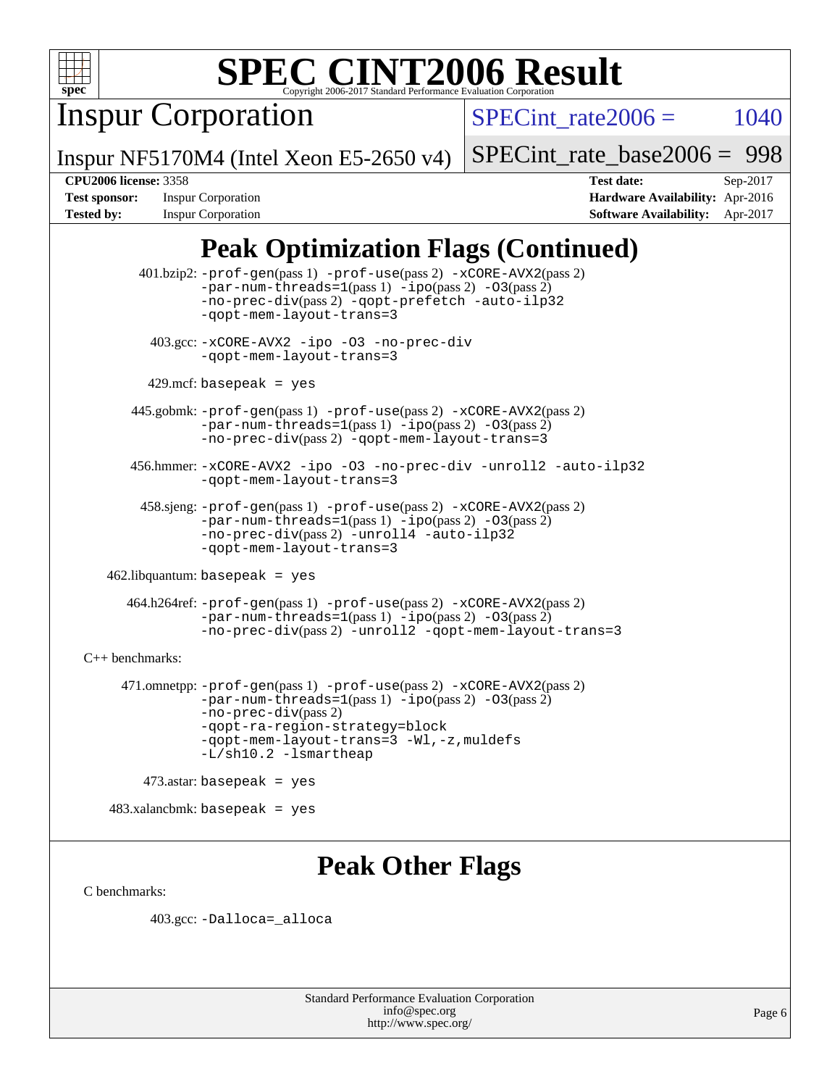

Inspur Corporation

SPECint rate $2006 = 1040$ 

Inspur NF5170M4 (Intel Xeon E5-2650 v4)

[SPECint\\_rate\\_base2006 =](http://www.spec.org/auto/cpu2006/Docs/result-fields.html#SPECintratebase2006) 998

**[CPU2006 license:](http://www.spec.org/auto/cpu2006/Docs/result-fields.html#CPU2006license)** 3358 **[Test date:](http://www.spec.org/auto/cpu2006/Docs/result-fields.html#Testdate)** Sep-2017 **[Test sponsor:](http://www.spec.org/auto/cpu2006/Docs/result-fields.html#Testsponsor)** Inspur Corporation **[Hardware Availability:](http://www.spec.org/auto/cpu2006/Docs/result-fields.html#HardwareAvailability)** Apr-2016 **[Tested by:](http://www.spec.org/auto/cpu2006/Docs/result-fields.html#Testedby)** Inspur Corporation **[Software Availability:](http://www.spec.org/auto/cpu2006/Docs/result-fields.html#SoftwareAvailability)** Apr-2017

# **[Peak Optimization Flags \(Continued\)](http://www.spec.org/auto/cpu2006/Docs/result-fields.html#PeakOptimizationFlags)**

 401.bzip2: [-prof-gen](http://www.spec.org/cpu2006/results/res2017q4/cpu2006-20170919-50146.flags.html#user_peakPASS1_CFLAGSPASS1_LDCFLAGS401_bzip2_prof_gen_e43856698f6ca7b7e442dfd80e94a8fc)(pass 1) [-prof-use](http://www.spec.org/cpu2006/results/res2017q4/cpu2006-20170919-50146.flags.html#user_peakPASS2_CFLAGSPASS2_LDCFLAGS401_bzip2_prof_use_bccf7792157ff70d64e32fe3e1250b55)(pass 2) [-xCORE-AVX2](http://www.spec.org/cpu2006/results/res2017q4/cpu2006-20170919-50146.flags.html#user_peakPASS2_CFLAGSPASS2_LDCFLAGS401_bzip2_f-xCORE-AVX2)(pass 2)  $-par-num-threads=1(pass 1) -ipo(pass 2) -O3(pass 2)$  $-par-num-threads=1(pass 1) -ipo(pass 2) -O3(pass 2)$  $-par-num-threads=1(pass 1) -ipo(pass 2) -O3(pass 2)$  $-par-num-threads=1(pass 1) -ipo(pass 2) -O3(pass 2)$  $-par-num-threads=1(pass 1) -ipo(pass 2) -O3(pass 2)$  $-par-num-threads=1(pass 1) -ipo(pass 2) -O3(pass 2)$ [-no-prec-div](http://www.spec.org/cpu2006/results/res2017q4/cpu2006-20170919-50146.flags.html#user_peakPASS2_CFLAGSPASS2_LDCFLAGS401_bzip2_f-no-prec-div)(pass 2) [-qopt-prefetch](http://www.spec.org/cpu2006/results/res2017q4/cpu2006-20170919-50146.flags.html#user_peakCOPTIMIZE401_bzip2_f-qopt-prefetch) [-auto-ilp32](http://www.spec.org/cpu2006/results/res2017q4/cpu2006-20170919-50146.flags.html#user_peakCOPTIMIZE401_bzip2_f-auto-ilp32) [-qopt-mem-layout-trans=3](http://www.spec.org/cpu2006/results/res2017q4/cpu2006-20170919-50146.flags.html#user_peakCOPTIMIZE401_bzip2_f-qopt-mem-layout-trans_170f5be61cd2cedc9b54468c59262d5d) 403.gcc: [-xCORE-AVX2](http://www.spec.org/cpu2006/results/res2017q4/cpu2006-20170919-50146.flags.html#user_peakOPTIMIZE403_gcc_f-xCORE-AVX2) [-ipo](http://www.spec.org/cpu2006/results/res2017q4/cpu2006-20170919-50146.flags.html#user_peakOPTIMIZE403_gcc_f-ipo) [-O3](http://www.spec.org/cpu2006/results/res2017q4/cpu2006-20170919-50146.flags.html#user_peakOPTIMIZE403_gcc_f-O3) [-no-prec-div](http://www.spec.org/cpu2006/results/res2017q4/cpu2006-20170919-50146.flags.html#user_peakOPTIMIZE403_gcc_f-no-prec-div) [-qopt-mem-layout-trans=3](http://www.spec.org/cpu2006/results/res2017q4/cpu2006-20170919-50146.flags.html#user_peakCOPTIMIZE403_gcc_f-qopt-mem-layout-trans_170f5be61cd2cedc9b54468c59262d5d)  $429$ .mcf: basepeak = yes 445.gobmk: [-prof-gen](http://www.spec.org/cpu2006/results/res2017q4/cpu2006-20170919-50146.flags.html#user_peakPASS1_CFLAGSPASS1_LDCFLAGS445_gobmk_prof_gen_e43856698f6ca7b7e442dfd80e94a8fc)(pass 1) [-prof-use](http://www.spec.org/cpu2006/results/res2017q4/cpu2006-20170919-50146.flags.html#user_peakPASS2_CFLAGSPASS2_LDCFLAGSPASS2_LDFLAGS445_gobmk_prof_use_bccf7792157ff70d64e32fe3e1250b55)(pass 2) [-xCORE-AVX2](http://www.spec.org/cpu2006/results/res2017q4/cpu2006-20170919-50146.flags.html#user_peakPASS2_CFLAGSPASS2_LDCFLAGSPASS2_LDFLAGS445_gobmk_f-xCORE-AVX2)(pass 2) [-par-num-threads=1](http://www.spec.org/cpu2006/results/res2017q4/cpu2006-20170919-50146.flags.html#user_peakPASS1_CFLAGSPASS1_LDCFLAGS445_gobmk_par_num_threads_786a6ff141b4e9e90432e998842df6c2)(pass 1) [-ipo](http://www.spec.org/cpu2006/results/res2017q4/cpu2006-20170919-50146.flags.html#user_peakPASS2_LDCFLAGS445_gobmk_f-ipo)(pass 2) [-O3](http://www.spec.org/cpu2006/results/res2017q4/cpu2006-20170919-50146.flags.html#user_peakPASS2_LDCFLAGS445_gobmk_f-O3)(pass 2) [-no-prec-div](http://www.spec.org/cpu2006/results/res2017q4/cpu2006-20170919-50146.flags.html#user_peakPASS2_LDCFLAGS445_gobmk_f-no-prec-div)(pass 2) [-qopt-mem-layout-trans=3](http://www.spec.org/cpu2006/results/res2017q4/cpu2006-20170919-50146.flags.html#user_peakCOPTIMIZE445_gobmk_f-qopt-mem-layout-trans_170f5be61cd2cedc9b54468c59262d5d) 456.hmmer: [-xCORE-AVX2](http://www.spec.org/cpu2006/results/res2017q4/cpu2006-20170919-50146.flags.html#user_peakOPTIMIZE456_hmmer_f-xCORE-AVX2) [-ipo](http://www.spec.org/cpu2006/results/res2017q4/cpu2006-20170919-50146.flags.html#user_peakOPTIMIZE456_hmmer_f-ipo) [-O3](http://www.spec.org/cpu2006/results/res2017q4/cpu2006-20170919-50146.flags.html#user_peakOPTIMIZE456_hmmer_f-O3) [-no-prec-div](http://www.spec.org/cpu2006/results/res2017q4/cpu2006-20170919-50146.flags.html#user_peakOPTIMIZE456_hmmer_f-no-prec-div) [-unroll2](http://www.spec.org/cpu2006/results/res2017q4/cpu2006-20170919-50146.flags.html#user_peakCOPTIMIZE456_hmmer_f-unroll_784dae83bebfb236979b41d2422d7ec2) [-auto-ilp32](http://www.spec.org/cpu2006/results/res2017q4/cpu2006-20170919-50146.flags.html#user_peakCOPTIMIZE456_hmmer_f-auto-ilp32) [-qopt-mem-layout-trans=3](http://www.spec.org/cpu2006/results/res2017q4/cpu2006-20170919-50146.flags.html#user_peakCOPTIMIZE456_hmmer_f-qopt-mem-layout-trans_170f5be61cd2cedc9b54468c59262d5d) 458.sjeng: [-prof-gen](http://www.spec.org/cpu2006/results/res2017q4/cpu2006-20170919-50146.flags.html#user_peakPASS1_CFLAGSPASS1_LDCFLAGS458_sjeng_prof_gen_e43856698f6ca7b7e442dfd80e94a8fc)(pass 1) [-prof-use](http://www.spec.org/cpu2006/results/res2017q4/cpu2006-20170919-50146.flags.html#user_peakPASS2_CFLAGSPASS2_LDCFLAGS458_sjeng_prof_use_bccf7792157ff70d64e32fe3e1250b55)(pass 2) [-xCORE-AVX2](http://www.spec.org/cpu2006/results/res2017q4/cpu2006-20170919-50146.flags.html#user_peakPASS2_CFLAGSPASS2_LDCFLAGS458_sjeng_f-xCORE-AVX2)(pass 2)  $-par-num-threads=1(pass 1) -ipo(pass 2) -O3(pass 2)$  $-par-num-threads=1(pass 1) -ipo(pass 2) -O3(pass 2)$  $-par-num-threads=1(pass 1) -ipo(pass 2) -O3(pass 2)$  $-par-num-threads=1(pass 1) -ipo(pass 2) -O3(pass 2)$  $-par-num-threads=1(pass 1) -ipo(pass 2) -O3(pass 2)$  $-par-num-threads=1(pass 1) -ipo(pass 2) -O3(pass 2)$ [-no-prec-div](http://www.spec.org/cpu2006/results/res2017q4/cpu2006-20170919-50146.flags.html#user_peakPASS2_CFLAGSPASS2_LDCFLAGS458_sjeng_f-no-prec-div)(pass 2) [-unroll4](http://www.spec.org/cpu2006/results/res2017q4/cpu2006-20170919-50146.flags.html#user_peakCOPTIMIZE458_sjeng_f-unroll_4e5e4ed65b7fd20bdcd365bec371b81f) [-auto-ilp32](http://www.spec.org/cpu2006/results/res2017q4/cpu2006-20170919-50146.flags.html#user_peakCOPTIMIZE458_sjeng_f-auto-ilp32) [-qopt-mem-layout-trans=3](http://www.spec.org/cpu2006/results/res2017q4/cpu2006-20170919-50146.flags.html#user_peakCOPTIMIZE458_sjeng_f-qopt-mem-layout-trans_170f5be61cd2cedc9b54468c59262d5d)  $462$ .libquantum: basepeak = yes 464.h264ref: [-prof-gen](http://www.spec.org/cpu2006/results/res2017q4/cpu2006-20170919-50146.flags.html#user_peakPASS1_CFLAGSPASS1_LDCFLAGS464_h264ref_prof_gen_e43856698f6ca7b7e442dfd80e94a8fc)(pass 1) [-prof-use](http://www.spec.org/cpu2006/results/res2017q4/cpu2006-20170919-50146.flags.html#user_peakPASS2_CFLAGSPASS2_LDCFLAGS464_h264ref_prof_use_bccf7792157ff70d64e32fe3e1250b55)(pass 2) [-xCORE-AVX2](http://www.spec.org/cpu2006/results/res2017q4/cpu2006-20170919-50146.flags.html#user_peakPASS2_CFLAGSPASS2_LDCFLAGS464_h264ref_f-xCORE-AVX2)(pass 2)  $-par-num-threads=1(pass 1) -ipo(pass 2) -O3(pass 2)$  $-par-num-threads=1(pass 1) -ipo(pass 2) -O3(pass 2)$  $-par-num-threads=1(pass 1) -ipo(pass 2) -O3(pass 2)$  $-par-num-threads=1(pass 1) -ipo(pass 2) -O3(pass 2)$  $-par-num-threads=1(pass 1) -ipo(pass 2) -O3(pass 2)$  $-par-num-threads=1(pass 1) -ipo(pass 2) -O3(pass 2)$ [-no-prec-div](http://www.spec.org/cpu2006/results/res2017q4/cpu2006-20170919-50146.flags.html#user_peakPASS2_CFLAGSPASS2_LDCFLAGS464_h264ref_f-no-prec-div)(pass 2) [-unroll2](http://www.spec.org/cpu2006/results/res2017q4/cpu2006-20170919-50146.flags.html#user_peakCOPTIMIZE464_h264ref_f-unroll_784dae83bebfb236979b41d2422d7ec2) [-qopt-mem-layout-trans=3](http://www.spec.org/cpu2006/results/res2017q4/cpu2006-20170919-50146.flags.html#user_peakCOPTIMIZE464_h264ref_f-qopt-mem-layout-trans_170f5be61cd2cedc9b54468c59262d5d) [C++ benchmarks:](http://www.spec.org/auto/cpu2006/Docs/result-fields.html#CXXbenchmarks) 471.omnetpp: [-prof-gen](http://www.spec.org/cpu2006/results/res2017q4/cpu2006-20170919-50146.flags.html#user_peakPASS1_CXXFLAGSPASS1_LDCXXFLAGS471_omnetpp_prof_gen_e43856698f6ca7b7e442dfd80e94a8fc)(pass 1) [-prof-use](http://www.spec.org/cpu2006/results/res2017q4/cpu2006-20170919-50146.flags.html#user_peakPASS2_CXXFLAGSPASS2_LDCXXFLAGS471_omnetpp_prof_use_bccf7792157ff70d64e32fe3e1250b55)(pass 2) [-xCORE-AVX2](http://www.spec.org/cpu2006/results/res2017q4/cpu2006-20170919-50146.flags.html#user_peakPASS2_CXXFLAGSPASS2_LDCXXFLAGS471_omnetpp_f-xCORE-AVX2)(pass 2) [-par-num-threads=1](http://www.spec.org/cpu2006/results/res2017q4/cpu2006-20170919-50146.flags.html#user_peakPASS1_CXXFLAGSPASS1_LDCXXFLAGS471_omnetpp_par_num_threads_786a6ff141b4e9e90432e998842df6c2)(pass 1) [-ipo](http://www.spec.org/cpu2006/results/res2017q4/cpu2006-20170919-50146.flags.html#user_peakPASS2_CXXFLAGSPASS2_LDCXXFLAGS471_omnetpp_f-ipo)(pass 2) [-O3](http://www.spec.org/cpu2006/results/res2017q4/cpu2006-20170919-50146.flags.html#user_peakPASS2_CXXFLAGSPASS2_LDCXXFLAGS471_omnetpp_f-O3)(pass 2) [-no-prec-div](http://www.spec.org/cpu2006/results/res2017q4/cpu2006-20170919-50146.flags.html#user_peakPASS2_CXXFLAGSPASS2_LDCXXFLAGS471_omnetpp_f-no-prec-div)(pass 2) [-qopt-ra-region-strategy=block](http://www.spec.org/cpu2006/results/res2017q4/cpu2006-20170919-50146.flags.html#user_peakCXXOPTIMIZE471_omnetpp_f-qopt-ra-region-strategy_430aa8f7c220cbde92ae827fa8d9be32)  [-qopt-mem-layout-trans=3](http://www.spec.org/cpu2006/results/res2017q4/cpu2006-20170919-50146.flags.html#user_peakCXXOPTIMIZE471_omnetpp_f-qopt-mem-layout-trans_170f5be61cd2cedc9b54468c59262d5d) [-Wl,-z,muldefs](http://www.spec.org/cpu2006/results/res2017q4/cpu2006-20170919-50146.flags.html#user_peakEXTRA_LDFLAGS471_omnetpp_link_force_multiple1_74079c344b956b9658436fd1b6dd3a8a) [-L/sh10.2 -lsmartheap](http://www.spec.org/cpu2006/results/res2017q4/cpu2006-20170919-50146.flags.html#user_peakEXTRA_LIBS471_omnetpp_SmartHeap_b831f2d313e2fffa6dfe3f00ffc1f1c0) 473.astar: basepeak = yes  $483.xalanchmk: basepeak = yes$ 

## **[Peak Other Flags](http://www.spec.org/auto/cpu2006/Docs/result-fields.html#PeakOtherFlags)**

[C benchmarks](http://www.spec.org/auto/cpu2006/Docs/result-fields.html#Cbenchmarks):

403.gcc: [-Dalloca=\\_alloca](http://www.spec.org/cpu2006/results/res2017q4/cpu2006-20170919-50146.flags.html#b403.gcc_peakEXTRA_CFLAGS_Dalloca_be3056838c12de2578596ca5467af7f3)